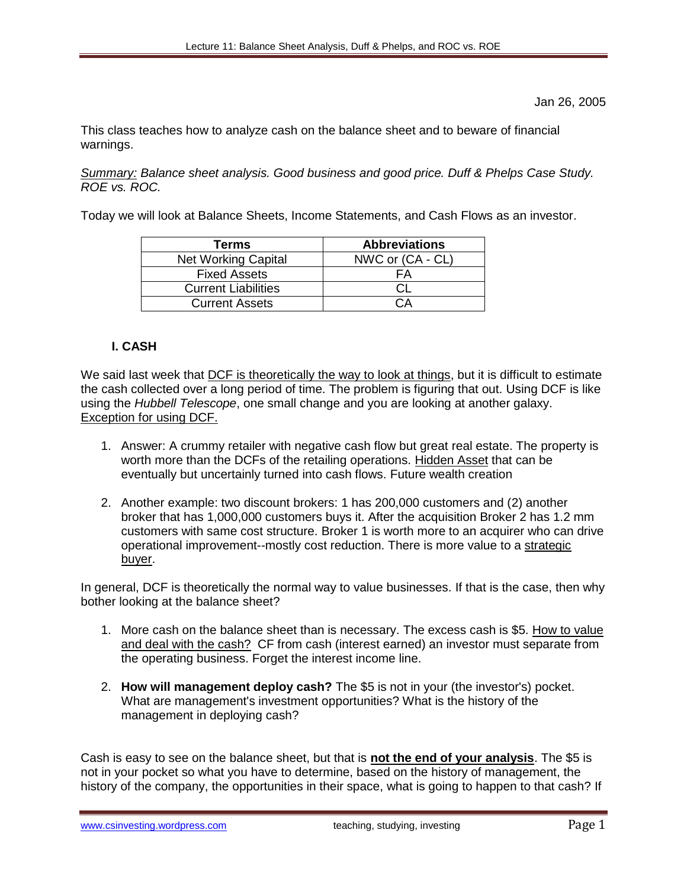Jan 26, 2005

This class teaches how to analyze cash on the balance sheet and to beware of financial warnings.

*Summary: Balance sheet analysis. Good business and good price. Duff & Phelps Case Study. ROE vs. ROC.*

Today we will look at Balance Sheets, Income Statements, and Cash Flows as an investor.

| Terms                      | <b>Abbreviations</b> |  |
|----------------------------|----------------------|--|
| <b>Net Working Capital</b> | NWC or (CA - CL)     |  |
| <b>Fixed Assets</b>        | FА                   |  |
| <b>Current Liabilities</b> |                      |  |
| <b>Current Assets</b>      | CΔ                   |  |

# **I. CASH**

We said last week that **DCF** is theoretically the way to look at things, but it is difficult to estimate the cash collected over a long period of time. The problem is figuring that out. Using DCF is like using the *Hubbell Telescope*, one small change and you are looking at another galaxy. Exception for using DCF.

- 1. Answer: A crummy retailer with negative cash flow but great real estate. The property is worth more than the DCFs of the retailing operations. Hidden Asset that can be eventually but uncertainly turned into cash flows. Future wealth creation
- 2. Another example: two discount brokers: 1 has 200,000 customers and (2) another broker that has 1,000,000 customers buys it. After the acquisition Broker 2 has 1.2 mm customers with same cost structure. Broker 1 is worth more to an acquirer who can drive operational improvement--mostly cost reduction. There is more value to a strategic buyer.

In general, DCF is theoretically the normal way to value businesses. If that is the case, then why bother looking at the balance sheet?

- 1. More cash on the balance sheet than is necessary. The excess cash is \$5. How to value and deal with the cash? CF from cash (interest earned) an investor must separate from the operating business. Forget the interest income line.
- 2. **How will management deploy cash?** The \$5 is not in your (the investor's) pocket. What are management's investment opportunities? What is the history of the management in deploying cash?

Cash is easy to see on the balance sheet, but that is **not the end of your analysis**. The \$5 is not in your pocket so what you have to determine, based on the history of management, the history of the company, the opportunities in their space, what is going to happen to that cash? If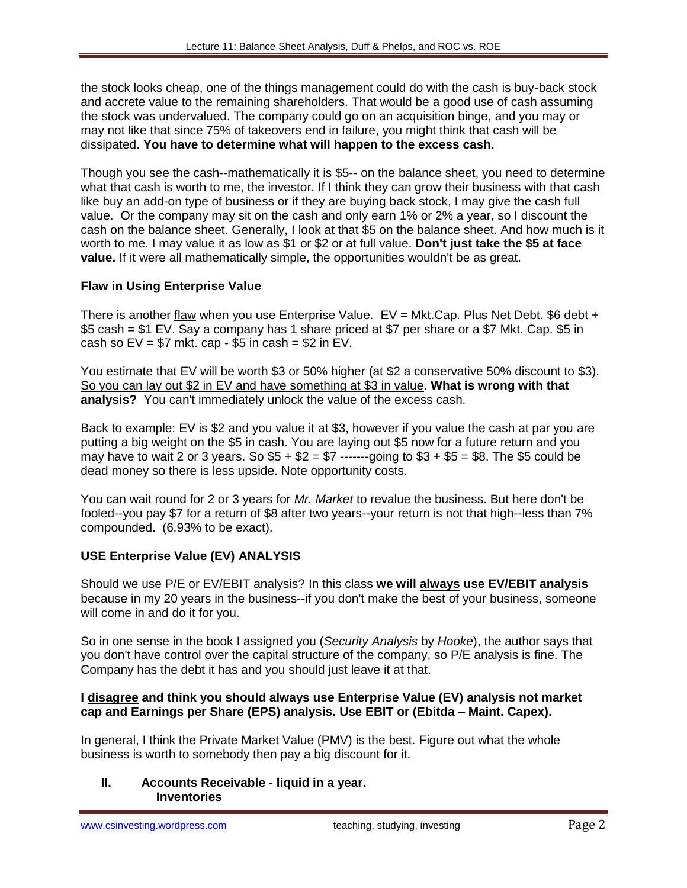the stock looks cheap, one of the things management could do with the cash is buy-back stock and accrete value to the remaining shareholders. That would be a good use of cash assuming the stock was undervalued. The company could go on an acquisition binge, and you may or may not like that since 75% of takeovers end in failure, you might think that cash will be dissipated. **You have to determine what will happen to the excess cash.**

Though you see the cash--mathematically it is \$5-- on the balance sheet, you need to determine what that cash is worth to me, the investor. If I think they can grow their business with that cash like buy an add-on type of business or if they are buying back stock, I may give the cash full value. Or the company may sit on the cash and only earn 1% or 2% a year, so I discount the cash on the balance sheet. Generally, I look at that \$5 on the balance sheet. And how much is it worth to me. I may value it as low as \$1 or \$2 or at full value. **Don't just take the \$5 at face value.** If it were all mathematically simple, the opportunities wouldn't be as great.

# **Flaw in Using Enterprise Value**

There is another flaw when you use Enterprise Value.  $EV = Mkt.Cap$ . Plus Net Debt. \$6 debt + \$5 cash = \$1 EV. Say a company has 1 share priced at \$7 per share or a \$7 Mkt. Cap. \$5 in cash so  $EV = $7$  mkt. cap - \$5 in cash = \$2 in EV.

You estimate that EV will be worth \$3 or 50% higher (at \$2 a conservative 50% discount to \$3). So you can lay out \$2 in EV and have something at \$3 in value. **What is wrong with that analysis?** You can't immediately unlock the value of the excess cash.

Back to example: EV is \$2 and you value it at \$3, however if you value the cash at par you are putting a big weight on the \$5 in cash. You are laying out \$5 now for a future return and you may have to wait 2 or 3 years. So  $$5 + $2 = $7$  ------going to  $$3 + $5 = $8$ . The \$5 could be dead money so there is less upside. Note opportunity costs.

You can wait round for 2 or 3 years for *Mr. Market* to revalue the business. But here don't be fooled--you pay \$7 for a return of \$8 after two years--your return is not that high--less than 7% compounded. (6.93% to be exact).

# **USE Enterprise Value (EV) ANALYSIS**

Should we use P/E or EV/EBIT analysis? In this class **we will always use EV/EBIT analysis** because in my 20 years in the business--if you don't make the best of your business, someone will come in and do it for you.

So in one sense in the book I assigned you (*Security Analysis* by *Hooke*), the author says that you don't have control over the capital structure of the company, so P/E analysis is fine. The Company has the debt it has and you should just leave it at that.

### **I disagree and think you should always use Enterprise Value (EV) analysis not market cap and Earnings per Share (EPS) analysis. Use EBIT or (Ebitda – Maint. Capex).**

In general, I think the Private Market Value (PMV) is the best. Figure out what the whole business is worth to somebody then pay a big discount for it.

**II. Accounts Receivable - liquid in a year. Inventories**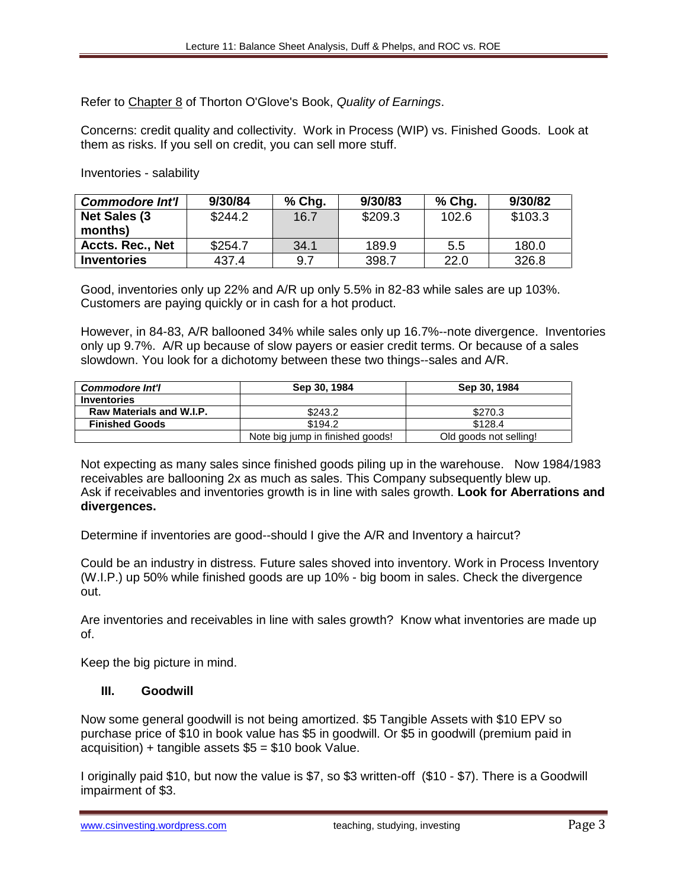Refer to Chapter 8 of Thorton O'Glove's Book, *Quality of Earnings*.

Concerns: credit quality and collectivity. Work in Process (WIP) vs. Finished Goods. Look at them as risks. If you sell on credit, you can sell more stuff.

Inventories - salability

| <b>Commodore Int'l</b> | 9/30/84 | $%$ Chg. | 9/30/83 | $%$ Chg. | 9/30/82 |
|------------------------|---------|----------|---------|----------|---------|
| <b>Net Sales (3)</b>   | \$244.2 | 16.7     | \$209.3 | 102.6    | \$103.3 |
| months)                |         |          |         |          |         |
| Accts. Rec., Net       | \$254.7 | 34.1     | 189.9   | 5.5      | 180.0   |
| <b>Inventories</b>     | 437.4   | 9.7      | 398.7   | 22.0     | 326.8   |

Good, inventories only up 22% and A/R up only 5.5% in 82-83 while sales are up 103%. Customers are paying quickly or in cash for a hot product.

However, in 84-83, A/R ballooned 34% while sales only up 16.7%--note divergence. Inventories only up 9.7%. A/R up because of slow payers or easier credit terms. Or because of a sales slowdown. You look for a dichotomy between these two things--sales and A/R.

| <b>Commodore Int'l</b>   | Sep 30, 1984                     | Sep 30, 1984           |
|--------------------------|----------------------------------|------------------------|
| <b>Inventories</b>       |                                  |                        |
| Raw Materials and W.I.P. | \$243.2                          | \$270.3                |
| <b>Finished Goods</b>    | \$194.2                          | \$128.4                |
|                          | Note big jump in finished goods! | Old goods not selling! |

Not expecting as many sales since finished goods piling up in the warehouse. Now 1984/1983 receivables are ballooning 2x as much as sales. This Company subsequently blew up. Ask if receivables and inventories growth is in line with sales growth. **Look for Aberrations and divergences.**

Determine if inventories are good--should I give the A/R and Inventory a haircut?

Could be an industry in distress. Future sales shoved into inventory. Work in Process Inventory (W.I.P.) up 50% while finished goods are up 10% - big boom in sales. Check the divergence out.

Are inventories and receivables in line with sales growth? Know what inventories are made up of.

Keep the big picture in mind.

## **III. Goodwill**

Now some general goodwill is not being amortized. \$5 Tangible Assets with \$10 EPV so purchase price of \$10 in book value has \$5 in goodwill. Or \$5 in goodwill (premium paid in acquisition) + tangible assets \$5 = \$10 book Value.

I originally paid \$10, but now the value is \$7, so \$3 written-off (\$10 - \$7). There is a Goodwill impairment of \$3.

www.csinvesting.wordpress.com teaching, studying, investing example and Page 3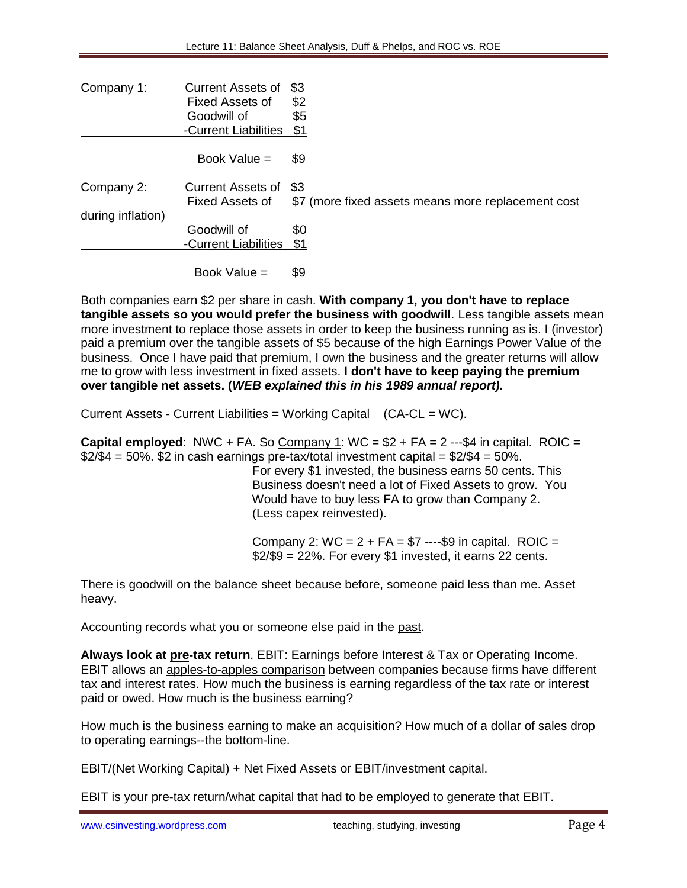| Company 1:        | <b>Current Assets of</b><br>Fixed Assets of<br>Goodwill of<br>-Current Liabilities \$1 | \$3<br>\$2<br>\$5                                         |
|-------------------|----------------------------------------------------------------------------------------|-----------------------------------------------------------|
|                   | Book Value =                                                                           | \$9                                                       |
| Company 2:        | <b>Current Assets of</b><br>Fixed Assets of                                            | \$3<br>\$7 (more fixed assets means more replacement cost |
| during inflation) | Goodwill of<br>-Current Liabilities \$1                                                | \$0                                                       |
|                   | Book Value $=$                                                                         | \$9                                                       |

Both companies earn \$2 per share in cash. **With company 1, you don't have to replace tangible assets so you would prefer the business with goodwill**. Less tangible assets mean more investment to replace those assets in order to keep the business running as is. I (investor) paid a premium over the tangible assets of \$5 because of the high Earnings Power Value of the business. Once I have paid that premium, I own the business and the greater returns will allow me to grow with less investment in fixed assets. **I don't have to keep paying the premium over tangible net assets. (***WEB explained this in his 1989 annual report).*

Current Assets - Current Liabilities = Working Capital (CA-CL = WC).

**Capital employed:** NWC + FA. So  $\frac{Commony}{1}$ : WC = \$2 + FA = 2 ---\$4 in capital. ROIC =  $$2/\$4 = 50\%$ .  $$2$  in cash earnings pre-tax/total investment capital =  $$2/\$4 = 50\%$ .

 For every \$1 invested, the business earns 50 cents. This Business doesn't need a lot of Fixed Assets to grow. You Would have to buy less FA to grow than Company 2. (Less capex reinvested).

Company 2:  $WC = 2 + FA = $7$  ----\$9 in capital. ROIC =  $$2/$9 = 22\%$ . For every \$1 invested, it earns 22 cents.

There is goodwill on the balance sheet because before, someone paid less than me. Asset heavy.

Accounting records what you or someone else paid in the past.

**Always look at pre-tax return**. EBIT: Earnings before Interest & Tax or Operating Income. EBIT allows an apples-to-apples comparison between companies because firms have different tax and interest rates. How much the business is earning regardless of the tax rate or interest paid or owed. How much is the business earning?

How much is the business earning to make an acquisition? How much of a dollar of sales drop to operating earnings--the bottom-line.

EBIT/(Net Working Capital) + Net Fixed Assets or EBIT/investment capital.

EBIT is your pre-tax return/what capital that had to be employed to generate that EBIT.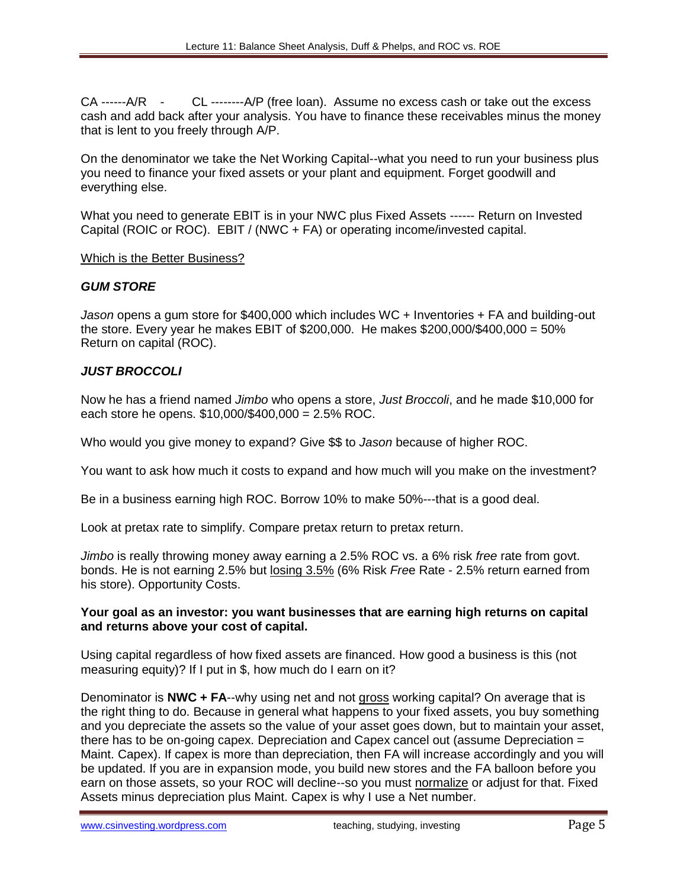CA ------A/R - CL --------A/P (free loan). Assume no excess cash or take out the excess cash and add back after your analysis. You have to finance these receivables minus the money that is lent to you freely through A/P.

On the denominator we take the Net Working Capital--what you need to run your business plus you need to finance your fixed assets or your plant and equipment. Forget goodwill and everything else.

What you need to generate EBIT is in your NWC plus Fixed Assets ------ Return on Invested Capital (ROIC or ROC). EBIT / (NWC + FA) or operating income/invested capital.

Which is the Better Business?

### *GUM STORE*

*Jason* opens a gum store for \$400,000 which includes WC + Inventories + FA and building-out the store. Every year he makes EBIT of \$200,000. He makes \$200,000/\$400,000 = 50% Return on capital (ROC).

### *JUST BROCCOLI*

Now he has a friend named *Jimbo* who opens a store, *Just Broccoli*, and he made \$10,000 for each store he opens. \$10,000/\$400,000 = 2.5% ROC.

Who would you give money to expand? Give \$\$ to *Jason* because of higher ROC.

You want to ask how much it costs to expand and how much will you make on the investment?

Be in a business earning high ROC. Borrow 10% to make 50%---that is a good deal.

Look at pretax rate to simplify. Compare pretax return to pretax return.

*Jimbo* is really throwing money away earning a 2.5% ROC vs. a 6% risk *free* rate from govt. bonds. He is not earning 2.5% but losing 3.5% (6% Risk *Fre*e Rate - 2.5% return earned from his store). Opportunity Costs.

#### **Your goal as an investor: you want businesses that are earning high returns on capital and returns above your cost of capital.**

Using capital regardless of how fixed assets are financed. How good a business is this (not measuring equity)? If I put in \$, how much do I earn on it?

Denominator is **NWC + FA**--why using net and not gross working capital? On average that is the right thing to do. Because in general what happens to your fixed assets, you buy something and you depreciate the assets so the value of your asset goes down, but to maintain your asset, there has to be on-going capex. Depreciation and Capex cancel out (assume Depreciation = Maint. Capex). If capex is more than depreciation, then FA will increase accordingly and you will be updated. If you are in expansion mode, you build new stores and the FA balloon before you earn on those assets, so your ROC will decline--so you must normalize or adjust for that. Fixed Assets minus depreciation plus Maint. Capex is why I use a Net number.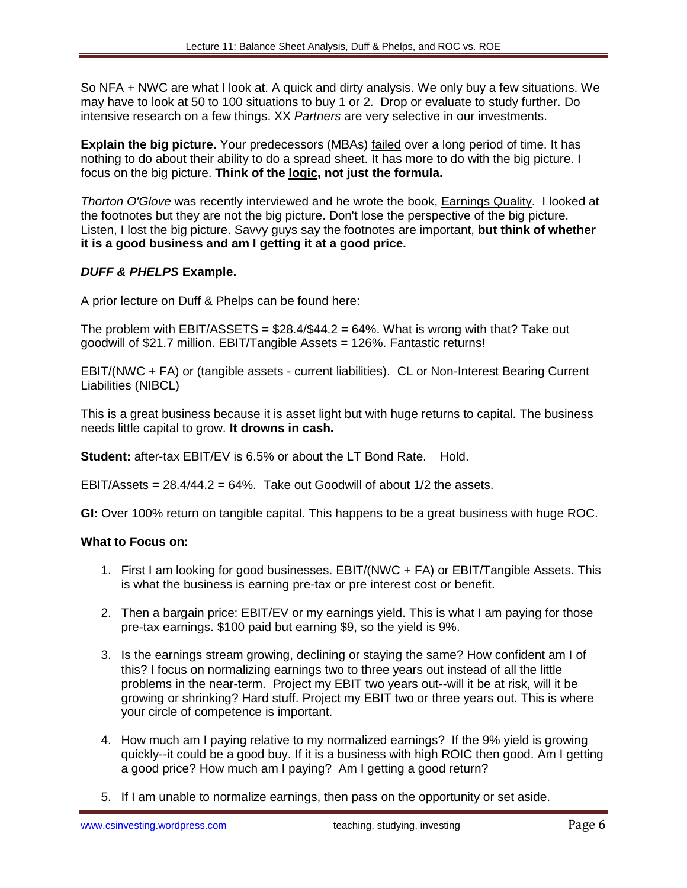So NFA + NWC are what I look at. A quick and dirty analysis. We only buy a few situations. We may have to look at 50 to 100 situations to buy 1 or 2. Drop or evaluate to study further. Do intensive research on a few things. XX *Partners* are very selective in our investments.

**Explain the big picture.** Your predecessors (MBAs) failed over a long period of time. It has nothing to do about their ability to do a spread sheet. It has more to do with the big picture. I focus on the big picture. **Think of the logic, not just the formula.** 

*Thorton O'Glove* was recently interviewed and he wrote the book, Earnings Quality. I looked at the footnotes but they are not the big picture. Don't lose the perspective of the big picture. Listen, I lost the big picture. Savvy guys say the footnotes are important, **but think of whether it is a good business and am I getting it at a good price.** 

# *DUFF & PHELPS* **Example.**

A prior lecture on Duff & Phelps can be found here:

The problem with EBIT/ASSETS =  $$28.4$ / $$44.2 = 64$ %. What is wrong with that? Take out goodwill of \$21.7 million. EBIT/Tangible Assets = 126%. Fantastic returns!

EBIT/(NWC + FA) or (tangible assets - current liabilities). CL or Non-Interest Bearing Current Liabilities (NIBCL)

This is a great business because it is asset light but with huge returns to capital. The business needs little capital to grow. **It drowns in cash.** 

**Student:** after-tax EBIT/EV is 6.5% or about the LT Bond Rate. Hold.

EBIT/Assets  $= 28.4/44.2 = 64\%$ . Take out Goodwill of about 1/2 the assets.

**GI:** Over 100% return on tangible capital. This happens to be a great business with huge ROC.

### **What to Focus on:**

- 1. First I am looking for good businesses. EBIT/(NWC + FA) or EBIT/Tangible Assets. This is what the business is earning pre-tax or pre interest cost or benefit.
- 2. Then a bargain price: EBIT/EV or my earnings yield. This is what I am paying for those pre-tax earnings. \$100 paid but earning \$9, so the yield is 9%.
- 3. Is the earnings stream growing, declining or staying the same? How confident am I of this? I focus on normalizing earnings two to three years out instead of all the little problems in the near-term. Project my EBIT two years out--will it be at risk, will it be growing or shrinking? Hard stuff. Project my EBIT two or three years out. This is where your circle of competence is important.
- 4. How much am I paying relative to my normalized earnings? If the 9% yield is growing quickly--it could be a good buy. If it is a business with high ROIC then good. Am I getting a good price? How much am I paying? Am I getting a good return?
- 5. If I am unable to normalize earnings, then pass on the opportunity or set aside.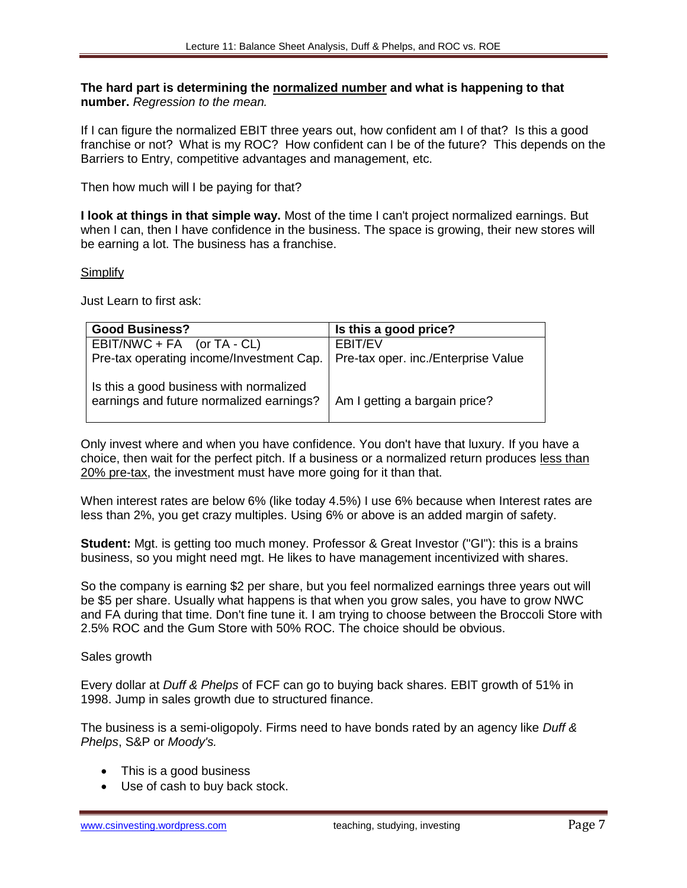#### **The hard part is determining the normalized number and what is happening to that number.** *Regression to the mean.*

If I can figure the normalized EBIT three years out, how confident am I of that? Is this a good franchise or not? What is my ROC? How confident can I be of the future? This depends on the Barriers to Entry, competitive advantages and management, etc.

Then how much will I be paying for that?

**I look at things in that simple way.** Most of the time I can't project normalized earnings. But when I can, then I have confidence in the business. The space is growing, their new stores will be earning a lot. The business has a franchise.

### Simplify

Just Learn to first ask:

| <b>Good Business?</b>                                                               | Is this a good price?               |
|-------------------------------------------------------------------------------------|-------------------------------------|
| $EBIT/NWC + FA$ (or TA - CL)                                                        | EBIT/EV                             |
| Pre-tax operating income/Investment Cap.                                            | Pre-tax oper. inc./Enterprise Value |
| Is this a good business with normalized<br>earnings and future normalized earnings? | Am I getting a bargain price?       |

Only invest where and when you have confidence. You don't have that luxury. If you have a choice, then wait for the perfect pitch. If a business or a normalized return produces less than 20% pre-tax, the investment must have more going for it than that.

When interest rates are below 6% (like today 4.5%) I use 6% because when Interest rates are less than 2%, you get crazy multiples. Using 6% or above is an added margin of safety.

**Student:** Mgt. is getting too much money. Professor & Great Investor ("GI"): this is a brains business, so you might need mgt. He likes to have management incentivized with shares.

So the company is earning \$2 per share, but you feel normalized earnings three years out will be \$5 per share. Usually what happens is that when you grow sales, you have to grow NWC and FA during that time. Don't fine tune it. I am trying to choose between the Broccoli Store with 2.5% ROC and the Gum Store with 50% ROC. The choice should be obvious.

### Sales growth

Every dollar at *Duff & Phelps* of FCF can go to buying back shares. EBIT growth of 51% in 1998. Jump in sales growth due to structured finance.

The business is a semi-oligopoly. Firms need to have bonds rated by an agency like *Duff & Phelps*, S&P or *Moody's.* 

- This is a good business
- Use of cash to buy back stock.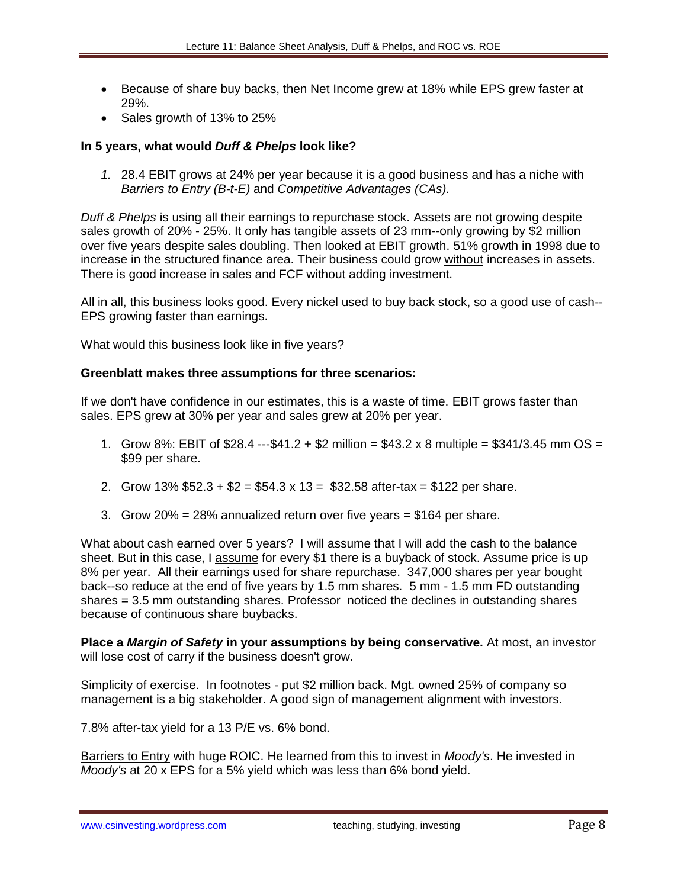- Because of share buy backs, then Net Income grew at 18% while EPS grew faster at 29%.
- Sales growth of 13% to 25%

## **In 5 years, what would** *Duff & Phelps* **look like?**

*1.* 28.4 EBIT grows at 24% per year because it is a good business and has a niche with *Barriers to Entry (B-t-E)* and *Competitive Advantages (CAs).*

*Duff & Phelps* is using all their earnings to repurchase stock. Assets are not growing despite sales growth of 20% - 25%. It only has tangible assets of 23 mm--only growing by \$2 million over five years despite sales doubling. Then looked at EBIT growth. 51% growth in 1998 due to increase in the structured finance area. Their business could grow without increases in assets. There is good increase in sales and FCF without adding investment.

All in all, this business looks good. Every nickel used to buy back stock, so a good use of cash-- EPS growing faster than earnings.

What would this business look like in five years?

#### **Greenblatt makes three assumptions for three scenarios:**

If we don't have confidence in our estimates, this is a waste of time. EBIT grows faster than sales. EPS grew at 30% per year and sales grew at 20% per year.

- 1. Grow 8%: EBIT of \$28.4 ---\$41.2 + \$2 million = \$43.2 x 8 multiple = \$341/3.45 mm OS = \$99 per share.
- 2. Grow  $13\%$  \$52.3 + \$2 = \$54.3 x 13 = \$32.58 after-tax = \$122 per share.
- 3. Grow 20% = 28% annualized return over five years = \$164 per share.

What about cash earned over 5 years? I will assume that I will add the cash to the balance sheet. But in this case, I assume for every \$1 there is a buyback of stock. Assume price is up 8% per year. All their earnings used for share repurchase. 347,000 shares per year bought back--so reduce at the end of five years by 1.5 mm shares. 5 mm - 1.5 mm FD outstanding shares = 3.5 mm outstanding shares. Professor noticed the declines in outstanding shares because of continuous share buybacks.

**Place a** *Margin of Safety* **in your assumptions by being conservative.** At most, an investor will lose cost of carry if the business doesn't grow.

Simplicity of exercise. In footnotes - put \$2 million back. Mgt. owned 25% of company so management is a big stakeholder. A good sign of management alignment with investors.

7.8% after-tax yield for a 13 P/E vs. 6% bond.

Barriers to Entry with huge ROIC. He learned from this to invest in *Moody's*. He invested in *Moody's* at 20 x EPS for a 5% yield which was less than 6% bond yield.

www.csinvesting.wordpress.com teaching, studying, investing example Page 8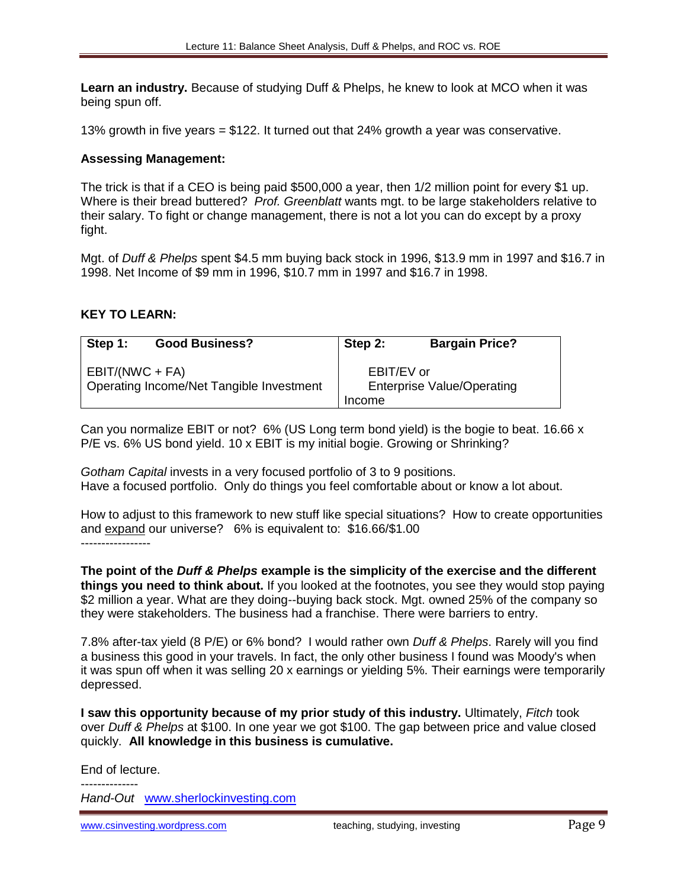**Learn an industry.** Because of studying Duff & Phelps, he knew to look at MCO when it was being spun off.

13% growth in five years = \$122. It turned out that 24% growth a year was conservative.

#### **Assessing Management:**

The trick is that if a CEO is being paid \$500,000 a year, then 1/2 million point for every \$1 up. Where is their bread buttered? *Prof. Greenblatt* wants mgt. to be large stakeholders relative to their salary. To fight or change management, there is not a lot you can do except by a proxy fight.

Mgt. of *Duff & Phelps* spent \$4.5 mm buying back stock in 1996, \$13.9 mm in 1997 and \$16.7 in 1998. Net Income of \$9 mm in 1996, \$10.7 mm in 1997 and \$16.7 in 1998.

### **KEY TO LEARN:**

| Step 1:                                                       | <b>Good Business?</b> | Step 2:                                                   | <b>Bargain Price?</b> |
|---------------------------------------------------------------|-----------------------|-----------------------------------------------------------|-----------------------|
| $EBIT/(NWC + FA)$<br>Operating Income/Net Tangible Investment |                       | EBIT/EV or<br><b>Enterprise Value/Operating</b><br>Income |                       |

Can you normalize EBIT or not? 6% (US Long term bond yield) is the bogie to beat. 16.66 x P/E vs. 6% US bond yield. 10 x EBIT is my initial bogie. Growing or Shrinking?

*Gotham Capital* invests in a very focused portfolio of 3 to 9 positions. Have a focused portfolio. Only do things you feel comfortable about or know a lot about.

How to adjust to this framework to new stuff like special situations? How to create opportunities and expand our universe? 6% is equivalent to: \$16.66/\$1.00 -----------------

**The point of the** *Duff & Phelps* **example is the simplicity of the exercise and the different things you need to think about.** If you looked at the footnotes, you see they would stop paying \$2 million a year. What are they doing--buying back stock. Mgt. owned 25% of the company so they were stakeholders. The business had a franchise. There were barriers to entry.

7.8% after-tax yield (8 P/E) or 6% bond? I would rather own *Duff & Phelps*. Rarely will you find a business this good in your travels. In fact, the only other business I found was Moody's when it was spun off when it was selling 20 x earnings or yielding 5%. Their earnings were temporarily depressed.

**I saw this opportunity because of my prior study of this industry.** Ultimately, *Fitch* took over *Duff & Phelps* at \$100. In one year we got \$100. The gap between price and value closed quickly. **All knowledge in this business is cumulative.**

End of lecture. -------------- *Hand-Out*[www.sherlockinvesting.com](http://www.sherlockinvesting.com/)

www.csinvesting.wordpress.com teaching, studying, investing example Page 9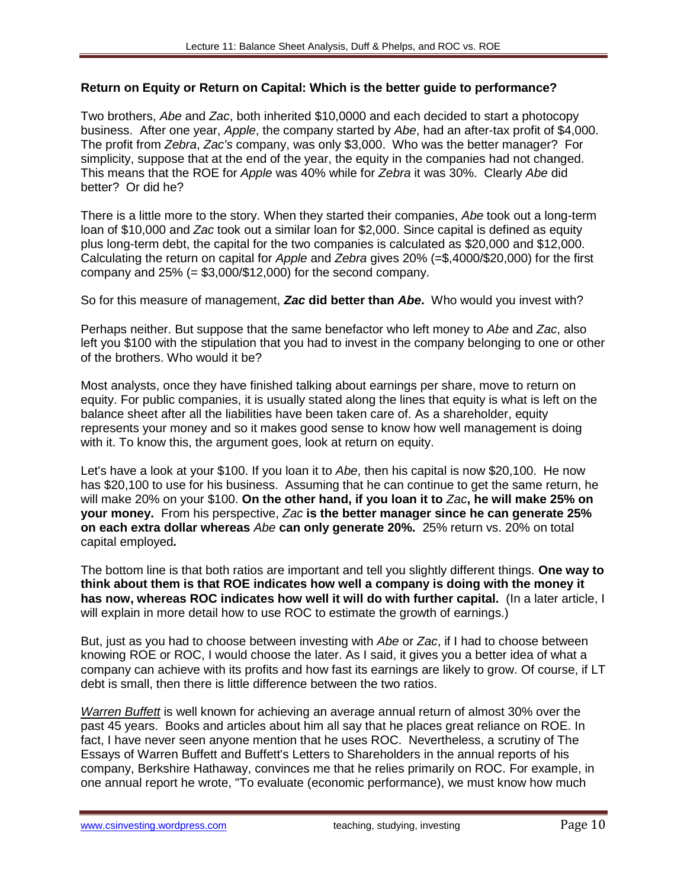## **Return on Equity or Return on Capital: Which is the better guide to performance?**

Two brothers, *Abe* and *Zac*, both inherited \$10,0000 and each decided to start a photocopy business. After one year, *Apple*, the company started by *Abe*, had an after-tax profit of \$4,000. The profit from *Zebra*, *Zac's* company, was only \$3,000. Who was the better manager? For simplicity, suppose that at the end of the year, the equity in the companies had not changed. This means that the ROE for *Apple* was 40% while for *Zebra* it was 30%. Clearly *Abe* did better? Or did he?

There is a little more to the story. When they started their companies, *Abe* took out a long-term loan of \$10,000 and *Zac* took out a similar loan for \$2,000. Since capital is defined as equity plus long-term debt, the capital for the two companies is calculated as \$20,000 and \$12,000. Calculating the return on capital for *Apple* and *Zebra* gives 20% (=\$,4000/\$20,000) for the first company and  $25\%$  (=  $$3,000/\$12,000$ ) for the second company.

So for this measure of management, *Zac* **did better than** *Abe***.** Who would you invest with?

Perhaps neither. But suppose that the same benefactor who left money to *Abe* and *Zac*, also left you \$100 with the stipulation that you had to invest in the company belonging to one or other of the brothers. Who would it be?

Most analysts, once they have finished talking about earnings per share, move to return on equity. For public companies, it is usually stated along the lines that equity is what is left on the balance sheet after all the liabilities have been taken care of. As a shareholder, equity represents your money and so it makes good sense to know how well management is doing with it. To know this, the argument goes, look at return on equity.

Let's have a look at your \$100. If you loan it to *Abe*, then his capital is now \$20,100. He now has \$20,100 to use for his business. Assuming that he can continue to get the same return, he will make 20% on your \$100. **On the other hand, if you loan it to** *Zac***, he will make 25% on your money.** From his perspective, *Zac* **is the better manager since he can generate 25% on each extra dollar whereas** *Abe* **can only generate 20%.** 25% return vs. 20% on total capital employed*.*

The bottom line is that both ratios are important and tell you slightly different things. **One way to think about them is that ROE indicates how well a company is doing with the money it has now, whereas ROC indicates how well it will do with further capital.** (In a later article, I will explain in more detail how to use ROC to estimate the growth of earnings.)

But, just as you had to choose between investing with *Abe* or *Zac*, if I had to choose between knowing ROE or ROC, I would choose the later. As I said, it gives you a better idea of what a company can achieve with its profits and how fast its earnings are likely to grow. Of course, if LT debt is small, then there is little difference between the two ratios.

*Warren Buffett* is well known for achieving an average annual return of almost 30% over the past 45 years. Books and articles about him all say that he places great reliance on ROE. In fact, I have never seen anyone mention that he uses ROC. Nevertheless, a scrutiny of The Essays of Warren Buffett and Buffett's Letters to Shareholders in the annual reports of his company, Berkshire Hathaway, convinces me that he relies primarily on ROC. For example, in one annual report he wrote, "To evaluate (economic performance), we must know how much

www.csinvesting.wordpress.com teaching, studying, investing Page 10